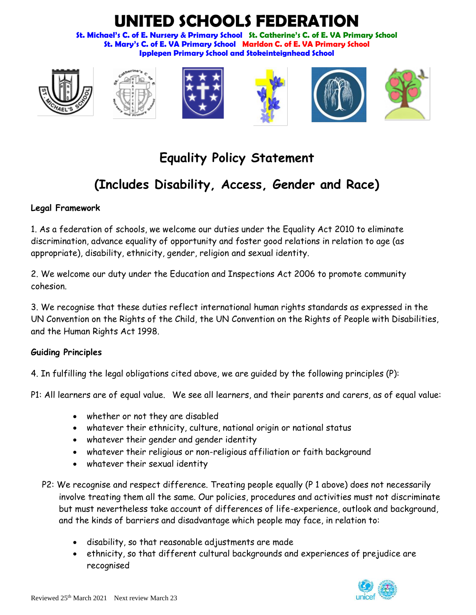# **UNITED SCHOOLS FEDERATION**

**St. Michael's C. of E. Nursery & Primary School St. Catherine's C. of E. VA Primary School St. Mary's C. of E. VA Primary School Marldon C. of E. VA Primary School Ipplepen Primary School and Stokeinteignhead School**













# **Equality Policy Statement**

# **(Includes Disability, Access, Gender and Race)**

# **Legal Framework**

1. As a federation of schools, we welcome our duties under the Equality Act 2010 to eliminate discrimination, advance equality of opportunity and foster good relations in relation to age (as appropriate), disability, ethnicity, gender, religion and sexual identity.

2. We welcome our duty under the Education and Inspections Act 2006 to promote community cohesion.

3. We recognise that these duties reflect international human rights standards as expressed in the UN Convention on the Rights of the Child, the UN Convention on the Rights of People with Disabilities, and the Human Rights Act 1998.

# **Guiding Principles**

4. In fulfilling the legal obligations cited above, we are guided by the following principles (P):

P1: All learners are of equal value. We see all learners, and their parents and carers, as of equal value:

- whether or not they are disabled
- whatever their ethnicity, culture, national origin or national status
- whatever their gender and gender identity
- whatever their religious or non-religious affiliation or faith background
- whatever their sexual identity
- P2: We recognise and respect difference. Treating people equally (P 1 above) does not necessarily involve treating them all the same. Our policies, procedures and activities must not discriminate but must nevertheless take account of differences of life-experience, outlook and background, and the kinds of barriers and disadvantage which people may face, in relation to:
	- disability, so that reasonable adjustments are made
	- ethnicity, so that different cultural backgrounds and experiences of prejudice are recognised

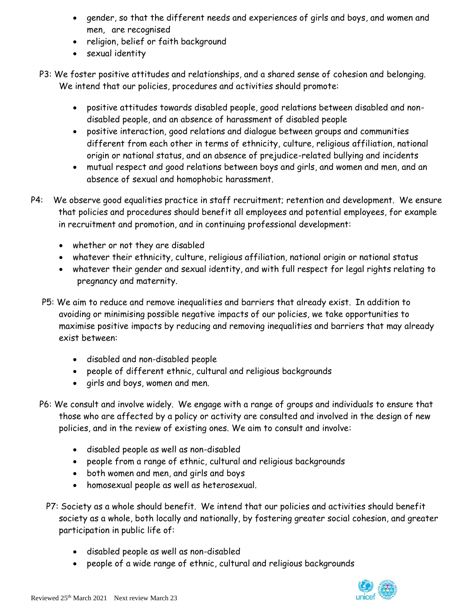- gender, so that the different needs and experiences of girls and boys, and women and men, are recognised
- religion, belief or faith background
- sexual identity
- P3: We foster positive attitudes and relationships, and a shared sense of cohesion and belonging. We intend that our policies, procedures and activities should promote:
	- positive attitudes towards disabled people, good relations between disabled and nondisabled people, and an absence of harassment of disabled people
	- positive interaction, good relations and dialogue between groups and communities different from each other in terms of ethnicity, culture, religious affiliation, national origin or national status, and an absence of prejudice-related bullying and incidents
	- mutual respect and good relations between boys and girls, and women and men, and an absence of sexual and homophobic harassment.
- P4: We observe good equalities practice in staff recruitment; retention and development. We ensure that policies and procedures should benefit all employees and potential employees, for example in recruitment and promotion, and in continuing professional development:
	- whether or not they are disabled
	- whatever their ethnicity, culture, religious affiliation, national origin or national status
	- whatever their gender and sexual identity, and with full respect for legal rights relating to pregnancy and maternity.
	- P5: We aim to reduce and remove inequalities and barriers that already exist. In addition to avoiding or minimising possible negative impacts of our policies, we take opportunities to maximise positive impacts by reducing and removing inequalities and barriers that may already exist between:
		- disabled and non-disabled people
		- people of different ethnic, cultural and religious backgrounds
		- girls and boys, women and men.
	- P6: We consult and involve widely. We engage with a range of groups and individuals to ensure that those who are affected by a policy or activity are consulted and involved in the design of new policies, and in the review of existing ones. We aim to consult and involve:
		- disabled people as well as non-disabled
		- people from a range of ethnic, cultural and religious backgrounds
		- both women and men, and girls and boys
		- homosexual people as well as heterosexual.
		- P7: Society as a whole should benefit. We intend that our policies and activities should benefit society as a whole, both locally and nationally, by fostering greater social cohesion, and greater participation in public life of:
			- disabled people as well as non-disabled
			- people of a wide range of ethnic, cultural and religious backgrounds

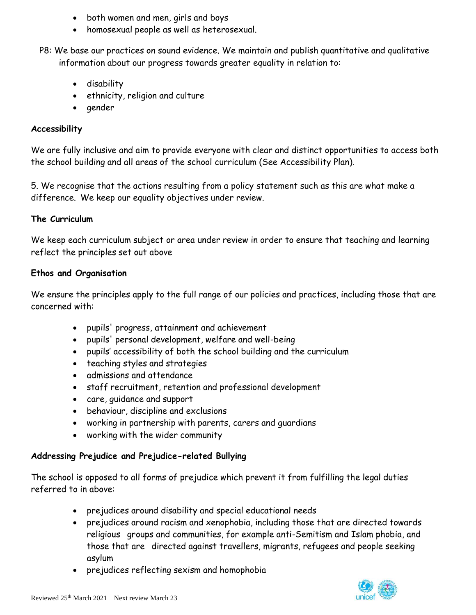- both women and men, girls and boys
- homosexual people as well as heterosexual.
- P8: We base our practices on sound evidence. We maintain and publish quantitative and qualitative information about our progress towards greater equality in relation to:
	- disability
	- ethnicity, religion and culture
	- gender

#### **Accessibility**

We are fully inclusive and aim to provide everyone with clear and distinct opportunities to access both the school building and all areas of the school curriculum (See Accessibility Plan).

5. We recognise that the actions resulting from a policy statement such as this are what make a difference. We keep our equality objectives under review.

#### **The Curriculum**

We keep each curriculum subject or area under review in order to ensure that teaching and learning reflect the principles set out above

#### **Ethos and Organisation**

We ensure the principles apply to the full range of our policies and practices, including those that are concerned with:

- pupils' progress, attainment and achievement
- pupils' personal development, welfare and well-being
- pupils' accessibility of both the school building and the curriculum
- teaching styles and strategies
- admissions and attendance
- staff recruitment, retention and professional development
- care, guidance and support
- behaviour, discipline and exclusions
- working in partnership with parents, carers and guardians
- working with the wider community

#### **Addressing Prejudice and Prejudice-related Bullying**

The school is opposed to all forms of prejudice which prevent it from fulfilling the legal duties referred to in above:

- prejudices around disability and special educational needs
- prejudices around racism and xenophobia, including those that are directed towards religious groups and communities, for example anti-Semitism and Islam phobia, and those that are directed against travellers, migrants, refugees and people seeking asylum
- prejudices reflecting sexism and homophobia